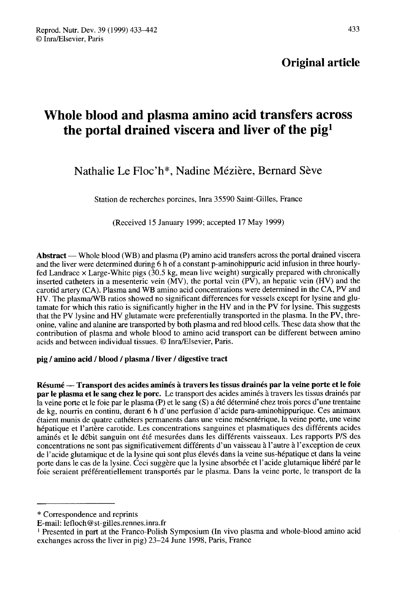# Whole blood and plasma amino acid transfers across<br>the portal drained viscera and liver of the pig<sup>1</sup>

# Nathalie Le Floc'h\*, Nadine Mézière, Bernard Sève

Station de recherches porcines, Inra 35590 Saint-Gilles, France

(Received 15 January 1999; accepted 17 May 1999)

Abstract― Whole blood (WB) and plasma (P) amino acid transfers across the portal drained viscera and the liver were determined during 6 h of a constant p-aminohippuric acid infusion in three hourlyfed Landrace  $\times$  Large-White pigs (30.5 kg, mean live weight) surgically prepared with chronically inserted catheters in a mesenteric vein (MV), the portal vein (PV), an hepatic vein (HV) and the carotid artery (CA). Plasma and WB amino acid concentrations were determined in the CA, PV and HV. The plasma/WB ratios showed no significant differences for vessels except for lysine and glutamate for which this ratio is significantly higher in the HV and in the PV for lysine. This suggests that the PV lysine and HV glutamate were preferentially transported in the plasma. In the PV, threonine, valine and alanine are transported by both plasma and red blood cells. These data show that the contribution of plasma and whole blood to amino acid transport can be different between amino acids and between individual tissues. © Inra/Elsevier, Paris.

# pig / amino acid / blood / plasma / liver / digestive tract

Résumé ― Transport des acides aminés à travers les tissus drainés par la veine porte et le foie par le plasma et le sang chez le porc. Le transport des acides aminés à travers les tissus drainés par la veine porte et le foie par le plasma (P) et le sang (S) a été déterminé chez trois porcs d'une trentaine de kg, nourris en continu, durant 6 h d'une perfusion d'acide para-aminohippurique. Ces animaux étaient munis de quatre cathéters permanents dans une veine mésentérique, la veine porte, une veine hépatique et l'artère carotide. Les concentrations sanguines et plasmatiques des différents acides aminés et le débit sanguin ont été mesurées dans les différents vaisseaux. Les rapports P/S des concentrations ne sont pas significativement différents d'un vaisseau à l'autre à l'exception de ceux de l'acide glutamique et de la lysine qui sont plus élevés dans la veine sus-hépatique et dans la veine porte dans le cas de la lysine. Ceci suggère que la lysine absorbée et l'acide glutamique libéré par le foie seraient préférentiellement transportés par le plasma. Dans la veine porte, le transport de la

<sup>\*</sup> Correspondence and reprints

E-mail: lefloch @ st-gilles.rennes.inra.fr

<sup>1</sup> Presented in part at the Franco-Polish Symposium (In vivo plasma and whole-blood amino acid exchanges across the liver in pig) 23-24 June 1998, Paris, France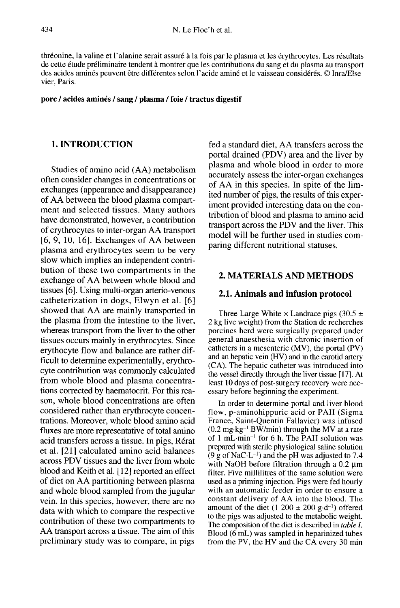thréonine, la valine et l'alanine serait assuré à la fois par le plasma et les érythrocytes. Les résultats de cette étude préliminaire tendent à montrer que les contributions du sang et du plasma au transport des acides aminés peuvent être différentes selon l'acide aminé et le vaisseau considérés. @ Inra/Elsevier, Paris.

porc / acides aminés / sang / plasma / foie / tractus digestif

# 1. INTRODUCTION

Studies of amino acid (AA) metabolism often consider changes in concentrations or exchanges (appearance and disappearance) of AA between the blood plasma compart ment and selected tissues. Many authors have demonstrated, however, a contribution of erythrocytes to inter-organ AA transport [6, 9, 10, 16]. Exchanges of AA between plasma and erythrocytes seem to be very slow which implies an independent contribution of these two compartments in the exchange of AA between whole blood and tissues [6]. Using multi-organ arterio-venous catheterization in dogs, Elwyn et al. [6] showed that AA are mainly transported in the plasma from the intestine to the liver, whereas transport from the liver to the other tissues occurs mainly in erythrocytes. Since erythocyte flow and balance are rather difficult to determine experimentally, erythrocyte contribution was commonly calculated from whole blood and plasma concentrations corrected by haematocrit. For this reason, whole blood concentrations are often considered rather than erythrocyte concentrations. Moreover, whole blood amino acid fluxes are more representative of total amino acid transfers across a tissue. In pigs, Rérat et al. [21] calculated amino acid balances across PDV tissues and the liver from whole blood and Keith et al. [12] reported an effect of diet on AA partitioning between plasma and whole blood sampled from the jugular vein. In this species, however, there are no data with which to compare the respective contribution of these two compartments to AA transport across a tissue. The aim of this preliminary study was to compare, in pigs

fed a standard diet, AA transfers across the portal drained (PDV) area and the liver by plasma and whole blood in order to more accurately assess the inter-organ exchanges of AA in this species. In spite of the limited number of pigs, the results of this experiment provided interesting data on the contribution of blood and plasma to amino acid transport across the PDV and the liver. This model will be further used in studies comparing different nutritional statuses.

# 2. MATERIALS AND METHODS

#### 2.1. Animals and infusion protocol

Three Large White  $\times$  Landrace pigs (30.5  $\pm$ 2 kg live weight) from the Station de recherches porcines herd were surgically prepared under general anaesthesia with chronic insertion of catheters in a mesenteric (MV), the portal (PV) and an hepatic vein (HV) and in the carotid artery (CA). The hepatic catheter was introduced into the vessel directly through the liver tissue [17]. At least 10 days of post-surgery recovery were necessary before beginning the experiment.

In order to determine portal and liver blood flow, p-aminohippuric acid or PAH (Sigma France, Saint-Quentin Fallavier) was infused  $(0.2 \text{ mg} \cdot \text{kg}^{-1}$  BW/min) through the MV at a rate of 1 mL $\cdot$ min<sup>-1</sup> for 6 h. The PAH solution was prepared with sterile physiological saline solution flow, p-aminohippuric acid or PAH (Sigma<br>France, Saint-Quentin Fallavier) was infused<br>(0.2 mg·kg<sup>-1</sup> BW/min) through the MV at a rate<br>of 1 mL·min<sup>-1</sup> for 6 h. The PAH solution was<br>prepared with sterile physiological salin with NaOH before filtration through a  $0.2 \mu m$ filter. Five millilitres of the same solution were used as a priming injection. Pigs were fed hourly with an automatic feeder in order to ensure a with an automatic feeder in order to ensure a<br>constant delivery of AA into the blood. The<br>amount of the diet  $(1\ 200 \pm 200 \text{ g} \cdot \text{d}^{-1})$  offered<br>to the nigs was adjusted to the metabolic weight to the pigs was adjusted to the metabolic weight. The composition of the diet is described in table I. Blood (6 mL) was sampled in heparinized tubes from the PV, the HV and the  $\overline{CA}$  every 30 min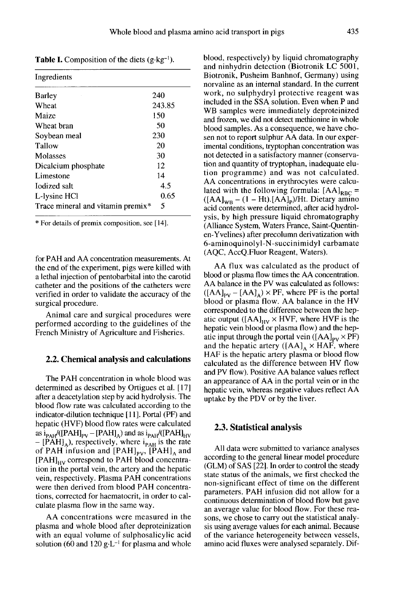**Table I.** Composition of the diets  $(g \cdot kg^{-1})$ .

| Ingredients                       |        |
|-----------------------------------|--------|
| <b>Barley</b>                     | 240    |
| Wheat                             | 243.85 |
| Maize                             | 150    |
| Wheat bran                        | 50     |
| Soybean meal                      | 230    |
| Tallow                            | 20     |
| Molasses                          | 30     |
| Dicalcium phosphate               | 12     |
| Limestone                         | 14     |
| Iodized salt                      | 4.5    |
| L-lysine HCl                      | 0.65   |
| Trace mineral and vitamin premix* | 5      |

\* For details of premix composition, see [14].

for PAH and AA concentration measurements. At the end of the experiment, pigs were killed with a lethal injection of pentobarbital into the carotid catheter and the positions of the catheters were verified in order to validate the accuracy of the surgical procedure.

Animal care and surgical procedures were performed according to the guidelines of the French Ministry of Agriculture and Fisheries.

#### 2.2. Chemical analysis and calculations

The PAH concentration in whole blood was determined as described by Ortigues et al. [17] after a deacetylation step by acid hydrolysis. The blood flow rate was calculated according to the indicator-dilution technique [11]. Portal (PF) and hepatic (HVF) blood flow rates were calculated<br>as  $i_{PAH}/([PAH]_{PV} - [PAH]_A)$  and as  $i_{PAH}/([PAH]_{HV}$ - The PAH concentration in whole blood was<br>determined as described by Ortigues et al. [17]<br>after a deacetylation step by acid hydrolysis. The<br>blood flow rate was calculated according to the<br>midicator-dilution technique [11] tion in the portal vein, the artery and the hepatic vein, respectively. Plasma PAH concentrations were then derived from blood PAH concentrations, corrected for haematocrit, in order to calculate plasma flow in the same way.

AA concentrations were measured in the plasma and whole blood after deproteinization with an equal volume of sulphosalicylic acid solution (60 and 120  $g \text{-} L^{-1}$  for plasma and whole blood, respectively) by liquid chromatography and ninhydrin detection (Biotronik LC 5001, Biotronik, Pusheim Banhnof, Germany) using norvaline as an internal standard. In the current work, no sulphydryl protective reagent was included in the SSA solution. Even when P and WB samples were immediately deproteinized and frozen, we did not detect methionine in whole blood samples. As a consequence, we have chosen not to report sulphur AA data. In our experimental conditions, tryptophan concentration was not detected in a satisfactory manner (conservation and quantity of tryptophan, inadequate elution programme) and was not calculated. AA concentrations in erythrocytes were calculated with the following formula:  $[AA]_{RBC} =$ Example in the computer of the interaction was<br>intental conditions, tryptophan concentration was<br>not detected in a satisfactory manner (conserva-<br>tion and quantity of tryptophan, inadequate elu-<br>tion programme) and was no acid contents were determined, after acid hydrolysis, by high pressure liquid chromatography (Alliance System, Waters France, Saint-Quentinen-Yvelines) after precolumn derivatization with 6-aminoquinolyl-N-succinimidyl carbamate (AQC, AccQ.Fluor Reagent, Waters).

AA flux was calculated as the product of blood or plasma flow times the AA concentration. AA balance in the PV was calculated as follows: AA flux was calculated as the product of<br>blood or plasma flow times the AA concentration.<br>AA balance in the PV was calculated as follows:<br>([AA]<sub>pV</sub> – [AA]<sub>A</sub>) × PF, where PF is the portal<br>blood or plasma flow. AA balance  $([AA]_{\text{pv}} - [AA]_{\text{A}}) \times \text{PF}$ , where PF is the portal blood or plasma flow. AA balance in the HV corresponded to the difference between the hepatic output  $([AA]_{HV} \times HVF$ , where HVF is the hepatic vein blood or plasma flow) and the hepatic input through the portal vein ( $[AA]_{\text{pv}} \times \text{PF}$ ) corresponded to the difference between the hep-<br>atic output ( $[AA]_{HV} \times HVF$ , where HVF is the<br>hepatic vein blood or plasma flow) and the hep-<br>atic input through the portal vein ( $[AA]_{PV} \times PF$ )<br>and the hepatic artery ( $[AA]_A \times$ and the hepatic artery  $( [AA]_A \times HAF,$  where HAF is the hepatic artery plasma or blood flow calculated as the difference between HV flow and PV flow). Positive AA balance values reflect an appearance of AA in the portal vein or in the hepatic vein, whereas negative values reflect AA uptake by the PDV or by the liver.

#### 2.3. Statistical analysis

All data were submitted to variance analyses according to the general linear model procedure (GLM) of SAS [22]. In order to control the steady state status of the animals, we first checked the non-significant effect of time on the different parameters. PAH infusion did not allow for a continuous determination of blood flow but gave an average value for blood flow. For these reasons, we chose to carry out the statistical analysis using average values for each animal. Because of the variance heterogeneity between vessels, amino acid fluxes were analysed separately. Dif-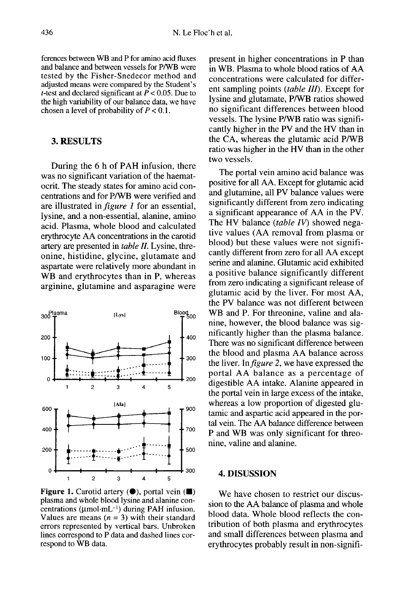ferences between WB and P for amino acid fluxes and balance and between vessels for P/WB were tested by the Fisher-Snedecor method and adjusted means were compared by the Student's t-test and declared significant at  $P < 0.05$ . Due to the high variability of our balance data, we have chosen a level of probability of  $P < 0.1$ .

# 3. RESULTS

During the 6 h of PAH infusion, there was no significant variation of the haematocrit. The steady states for amino acid concentrations and for P/WB were verified and are illustrated in *figure 1* for an essential, lysine, and a non-essential, alanine, amino acid. Plasma, whole blood and calculated erythrocyte AA concentrations in the carotid artery are presented in table II. Lysine, threonine, histidine, glycine, glutamate and aspartate were relatively more abundant in WB and erythrocytes than in P, whereas arginine, glutamine and asparagine were



**Figure 1.** Carotid artery  $(\bullet)$ , portal vein  $(\bullet)$ plasma and whole blood lysine and alanine concentrations ( $\mu$ mol·mL<sup>-1</sup>) during PAH infusion. Values are means  $(n = 3)$  with their standard errors represented by vertical bars. Unbroken lines correspond to P data and dashed lines correspond to WB data.

present in higher concentrations in P than in WB. Plasma to whole blood ratios of AA concentrations were calculated for different sampling points *(table III)*. Except for lysine and glutamate, P/WB ratios showed no significant differences between blood vessels. The lysine P/WB ratio was significantly higher in the PV and the HV than in the CA, whereas the glutamic acid P/WB ratio was higher in the HV than in the other two vessels.

The portal vein amino acid balance was positive for all AA. Except for glutamic acid and glutamine, all PV balance values were<br>significantly different from zero indicating a significant appearance of AA in the PV. The HV balance (table IV) showed negative values (AA removal from plasma or blood) but these values were not significantly different from zero for all AA except serine and alanine. Glutamic acid exhibited a positive balance significantly different from zero indicating a significant release of glutamic acid by the liver. For most AA, the PV balance was not different between WB and P. For threonine, valine and alanine, however, the blood balance was significantly higher than the plasma balance. There was no significant difference between the blood and plasma AA balance across the liver. In figure 2, we have expressed the portal AA balance as a percentage of digestible AA intake. Alanine appeared in the portal vein in large excess of the intake, whereas a low proportion of digested glutamic and aspartic acid appeared in the portal vein. The AA balance difference between P and WB was only significant for threonine, valine and alanine.

# 4. DISUSSION

We have chosen to restrict our discussion to the AA balance of plasma and whole blood data. Whole blood reflects the contribution of both plasma and erythrocytes and small differences between plasma and erythrocytes probably result in non-signifi-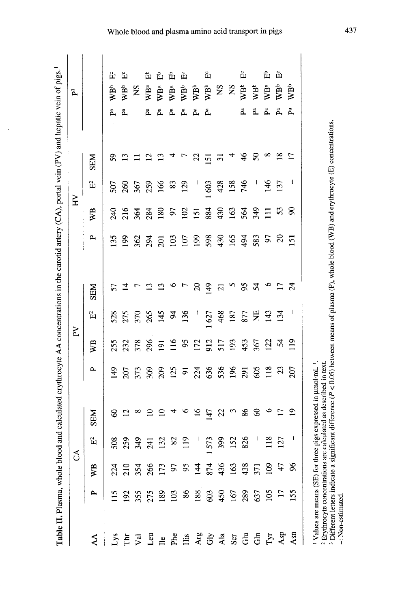| ֖֦֧֢ׅ֪ׅ֪֧ׅ֚֚֚֚֚֚֚֚֚֚֚֚֚֚֚֡֝֓֡֡֝֓֡֡֡֓֡֡֬֜֓֡֬ |
|---------------------------------------------|
|                                             |
| į                                           |
|                                             |
|                                             |
| $\vdots$                                    |
|                                             |
|                                             |
|                                             |
|                                             |
|                                             |
|                                             |
|                                             |
|                                             |
|                                             |
|                                             |
|                                             |
|                                             |
|                                             |
|                                             |
|                                             |
|                                             |
|                                             |
|                                             |
|                                             |
|                                             |
|                                             |
|                                             |
|                                             |
|                                             |
|                                             |
|                                             |
|                                             |
|                                             |
|                                             |
|                                             |
|                                             |
|                                             |
|                                             |
|                                             |
|                                             |
|                                             |
|                                             |
|                                             |
|                                             |
|                                             |
|                                             |
|                                             |
|                                             |
|                                             |
|                                             |
|                                             |
|                                             |
|                                             |
|                                             |
|                                             |
|                                             |
|                                             |
|                                             |
|                                             |
|                                             |
|                                             |
|                                             |
|                                             |
|                                             |
|                                             |
|                                             |
|                                             |
|                                             |
| hlord<br>a hlord                            |
|                                             |
|                                             |
|                                             |
|                                             |
|                                             |
|                                             |
|                                             |
| COMO ITIN                                   |
|                                             |
| į                                           |
|                                             |
|                                             |
|                                             |
| Ē                                           |
|                                             |
|                                             |
|                                             |
| <b>The Fig. of Marchine</b><br>Table II.    |
|                                             |
|                                             |
|                                             |
|                                             |

|              |                    | ů                               | Ĕ                          |                  | ដំ                                | $\mathbf{\hat{H}}$ | $\hat{\mathbf{E}}$                                    | å   |                                                                                                                                                                                                                                                                                                                     | ů                                 |                     |                  | ដំ            |                          | ដំ                                                                                                                                     | ů                                 |                          |
|--------------|--------------------|---------------------------------|----------------------------|------------------|-----------------------------------|--------------------|-------------------------------------------------------|-----|---------------------------------------------------------------------------------------------------------------------------------------------------------------------------------------------------------------------------------------------------------------------------------------------------------------------|-----------------------------------|---------------------|------------------|---------------|--------------------------|----------------------------------------------------------------------------------------------------------------------------------------|-----------------------------------|--------------------------|
| $\mathbf{g}$ |                    | $\mathbf{W}\mathbf{B}^\text{b}$ | $W\mathbf{B}^{\mathbf{b}}$ | $X_{\mathbf{S}}$ | $\mathbf{W}\mathbf{B}^\mathrm{a}$ |                    | WB <sup>a</sup><br>WB <sup>a</sup><br>WB <sup>b</sup> |     |                                                                                                                                                                                                                                                                                                                     | $\mathbf{W}\mathbf{B}^\mathrm{b}$ | <b>SER</b>          |                  |               | $W\mathbf{B}^{\text{b}}$ | $\mathbb{R}^n$                                                                                                                         | $\mathbf{W}\mathbf{B}^\mathrm{b}$ | $W\ddot{B}^b$            |
|              |                    | Ã,                              | å,                         |                  | å,                                | Å                  | ዺ                                                     | å,  | $\tilde{\mathbf{p}}$                                                                                                                                                                                                                                                                                                | Å,                                |                     |                  | Å,            | Å,                       | Ã,                                                                                                                                     | $\tilde{\mathbf{p}}$              | Å,                       |
|              | <b>NES</b>         | 59                              | $\mathbf{E}$               |                  | $\Xi$                             | 13                 |                                                       |     | $\mathfrak{Z}$                                                                                                                                                                                                                                                                                                      | $\overline{5}$ $\overline{3}$     |                     | $\boldsymbol{A}$ | $\frac{9}{4}$ | $50\,$                   | $^{\circ}$                                                                                                                             | $\overline{18}$                   | $\overline{1}$           |
|              | $\tilde{E}$        |                                 |                            |                  | 58588822                          |                    |                                                       |     | $\frac{1}{\sqrt{2}}$                                                                                                                                                                                                                                                                                                | 603                               | $428$<br>158<br>746 |                  |               |                          |                                                                                                                                        | $146$<br>137                      | ļ                        |
| ЯŽ           | WB                 |                                 |                            |                  |                                   |                    |                                                       |     | $3.18$ $3.8$ $3.8$ $5.9$ $1.2$ $3.8$ $3.9$ $3.2$ $3.3$ $3.1$                                                                                                                                                                                                                                                        |                                   |                     |                  |               |                          |                                                                                                                                        | 53                                |                          |
|              | $\mathbf{r}$       |                                 | $\frac{13}{2}$             |                  |                                   |                    |                                                       |     | 8888958                                                                                                                                                                                                                                                                                                             |                                   |                     |                  |               |                          |                                                                                                                                        |                                   | $\overline{5}$           |
|              | <b>NES</b>         |                                 |                            |                  |                                   |                    |                                                       |     | 515299587                                                                                                                                                                                                                                                                                                           |                                   |                     |                  |               |                          | 627                                                                                                                                    |                                   |                          |
|              | E <sup>2</sup>     |                                 |                            |                  | 88584484                          |                    |                                                       |     | $\frac{1}{\sqrt{2}}$                                                                                                                                                                                                                                                                                                |                                   |                     |                  |               |                          | $627$ $468$ $87$ $87$ $87$ $493$ $493$                                                                                                 |                                   | ł                        |
| $\mathsf{Y}$ | WB                 |                                 |                            |                  |                                   |                    |                                                       |     | $33.388897287375935375375$                                                                                                                                                                                                                                                                                          |                                   |                     |                  |               |                          |                                                                                                                                        |                                   | $\overline{19}$          |
|              | A,                 |                                 |                            |                  |                                   |                    |                                                       |     | $\frac{9}{2}$ $\frac{5}{6}$ $\frac{6}{6}$ $\frac{6}{6}$ $\frac{6}{6}$ $\frac{6}{6}$ $\frac{6}{6}$ $\frac{6}{6}$ $\frac{6}{6}$ $\frac{6}{6}$ $\frac{6}{6}$ $\frac{6}{6}$ $\frac{6}{6}$ $\frac{6}{6}$ $\frac{6}{6}$ $\frac{6}{6}$ $\frac{6}{6}$ $\frac{6}{6}$ $\frac{6}{6}$ $\frac{6}{6}$ $\frac{6}{6}$ $\frac{6}{6}$ |                                   |                     |                  |               |                          |                                                                                                                                        |                                   |                          |
| రే           | <b>NES</b>         |                                 |                            |                  | $87 \times 55$                    |                    | ਚ                                                     |     | 694720                                                                                                                                                                                                                                                                                                              |                                   |                     |                  | 86            | $\infty$                 |                                                                                                                                        | $\frac{6}{2}$                     | $\overline{2}$           |
|              | $E^2$              |                                 |                            |                  |                                   |                    |                                                       |     |                                                                                                                                                                                                                                                                                                                     |                                   |                     |                  |               |                          | $\overline{18}$                                                                                                                        | 127                               | $\overline{\phantom{a}}$ |
|              | ÿЯ                 | $\tilde{c}$                     | $\overline{21}$            |                  |                                   |                    |                                                       |     |                                                                                                                                                                                                                                                                                                                     |                                   |                     |                  |               |                          |                                                                                                                                        |                                   |                          |
|              | 2                  | $\frac{15}{2}$                  |                            |                  |                                   |                    |                                                       |     |                                                                                                                                                                                                                                                                                                                     |                                   |                     |                  |               |                          | 105                                                                                                                                    |                                   | 55                       |
|              | $\mathbf{\hat{A}}$ |                                 |                            |                  | SH 3 R B B B<br>A P 3 B B B       |                    |                                                       | Нís |                                                                                                                                                                                                                                                                                                                     |                                   |                     |                  |               |                          | $\frac{12}{3}$ $\frac{12}{3}$ $\frac{12}{3}$ $\frac{12}{3}$ $\frac{12}{3}$ $\frac{12}{3}$ $\frac{12}{3}$ $\frac{12}{3}$ $\frac{12}{3}$ |                                   | Asn                      |

Whole blood and plasma amino acid transport in pigs

<sup>2</sup> Erythrocyte concentrations are calculated as described in text.<br><sup>3</sup> Different letters indicate a significant difference (P < 0.05) between means of plasma (P), whole blood (WB) and erythrocyte (E) concentrations.

-: Non-estimated.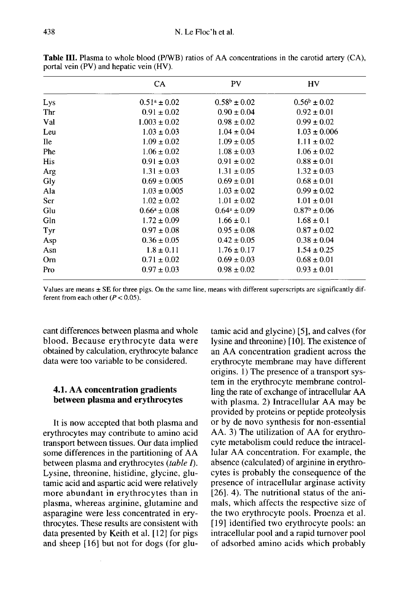|            | <b>CA</b>         | PV                | <b>HV</b>               |
|------------|-------------------|-------------------|-------------------------|
| Lys        | $0.51^a \pm 0.02$ | $0.58^b \pm 0.02$ | $0.56^b \pm 0.02$       |
| Thr        | $0.91 \pm 0.02$   | $0.90 \pm 0.04$   | $0.92 \pm 0.01$         |
| Val        | $1.003 \pm 0.02$  | $0.98 \pm 0.02$   | $0.99 \pm 0.02$         |
| Leu        | $1.03 \pm 0.03$   | $1.04 \pm 0.04$   | $1.03 \pm 0.006$        |
| <b>Ile</b> | $1.09 \pm 0.02$   | $1.09 \pm 0.05$   | $1.11 \pm 0.02$         |
| Phe        | $1.06 \pm 0.02$   | $1.08 \pm 0.03$   | $1.06 \pm 0.02$         |
| <b>His</b> | $0.91 \pm 0.03$   | $0.91 \pm 0.02$   | $0.88 \pm 0.01$         |
| Arg        | $1.31 \pm 0.03$   | $1.31 \pm 0.05$   | $1.32 \pm 0.03$         |
| Gly        | $0.69 \pm 0.005$  | $0.69 \pm 0.01$   | $0.68 \pm 0.01$         |
| Ala        | $1.03 \pm 0.005$  | $1.03 \pm 0.02$   | $0.99 \pm 0.02$         |
| Ser        | $1.02 \pm 0.02$   | $1.01 \pm 0.02$   | $1.01 \pm 0.01$         |
| Glu        | $0.66^a \pm 0.08$ | $0.64^a \pm 0.09$ | $0.87^{\rm b} \pm 0.06$ |
| Gln        | $1.72 \pm 0.09$   | $1.66 \pm 0.1$    | $1.68 \pm 0.1$          |
| Tyr        | $0.97 \pm 0.08$   | $0.95 \pm 0.08$   | $0.87 \pm 0.02$         |
| Asp        | $0.36 \pm 0.05$   | $0.42 \pm 0.05$   | $0.38 \pm 0.04$         |
| Asn        | $1.8 \pm 0.11$    | $1.76 \pm 0.17$   | $1.54 \pm 0.25$         |
| Orn        | $0.71 \pm 0.02$   | $0.69 \pm 0.03$   | $0.68 \pm 0.01$         |
| Pro        | $0.97 \pm 0.03$   | $0.98 \pm 0.02$   | $0.93 \pm 0.01$         |

Table III. Plasma to whole blood (P/WB) ratios of AA concentrations in the carotid artery (CA), portal vein (PV) and hepatic vein (HV).

Values are means  $\pm$  SE for three pigs. On the same line, means with different superscripts are significantly different from each other  $(P < 0.05)$ .

cant differences between plasma and whole blood. Because erythrocyte data were obtained by calculation, erythrocyte balance data were too variable to be considered.

## 4.1. AA concentration gradients between plasma and erythrocytes

It is now accepted that both plasma and erythrocytes may contribute to amino acid some differences in the partitioning of AA between plasma and erythrocytes  $(table I)$ . Lysine, threonine, histidine, glycine, glutamic acid and aspartic acid were relatively more abundant in erythrocytes than in plasma, whereas arginine, glutamine and asparagine were less concentrated in erythrocytes. These results are consistent with data presented by Keith et al. [12] for pigs and sheep [16] but not for dogs (for glutamic acid and glycine) [5], and calves (for lysine and threonine) [10]. The existence of an AA concentration gradient across the erythrocyte membrane may have different origins. 1) The presence of a transport system in the erythrocyte membrane controlling the rate of exchange of intracellular AA with plasma. 2) Intracellular AA may be provided by proteins or peptide proteolysis or by de novo synthesis for non-essential AA. 3) The utilization of AA for erythrocyte metabolism could reduce the intracellular AA concentration. For example, the absence (calculated) of arginine in erythrocytes is probably the consequence of the presence of intracellular arginase activity [26]. 4). The nutritional status of the animals, which affects the respective size of the two erythrocyte pools. Proenza et al. [19] identified two erythrocyte pools: an intracellular pool and a rapid turnover pool of adsorbed amino acids which probably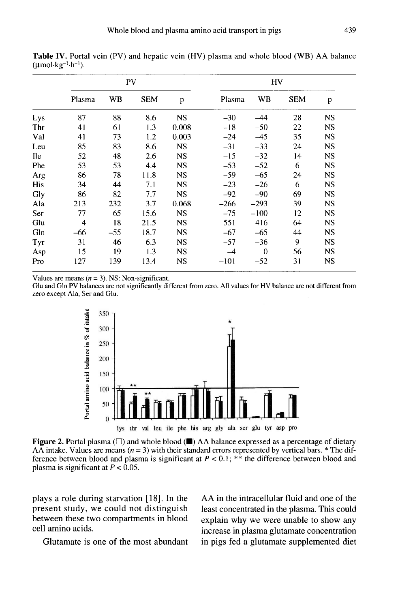|            |                |       | PV         |           | HV     |           |            |           |  |
|------------|----------------|-------|------------|-----------|--------|-----------|------------|-----------|--|
|            | Plasma         | WB    | <b>SEM</b> | p         | Plasma | <b>WB</b> | <b>SEM</b> | p         |  |
| Lys        | 87             | 88    | 8.6        | <b>NS</b> | $-30$  | $-44$     | 28         | <b>NS</b> |  |
| Thr        | 41             | 61    | 1.3        | 0.008     | $-18$  | $-50$     | 22         | NS.       |  |
| Val        | 41             | 73    | 1.2        | 0.003     | $-24$  | $-45$     | 35         | NS.       |  |
| Leu        | 85             | 83    | 8.6        | <b>NS</b> | $-31$  | $-33$     | 24         | NS.       |  |
| <b>Ile</b> | 52             | 48    | 2.6        | <b>NS</b> | $-15$  | $-32$     | 14         | <b>NS</b> |  |
| Phe        | 53             | 53    | 4.4        | <b>NS</b> | $-53$  | $-52$     | 6          | <b>NS</b> |  |
| Arg        | 86             | 78    | 11.8       | <b>NS</b> | $-59$  | $-65$     | 24         | <b>NS</b> |  |
| His        | 34             | 44    | 7.1        | <b>NS</b> | $-23$  | $-26$     | 6          | <b>NS</b> |  |
| Gly        | 86             | 82    | 7.7        | <b>NS</b> | $-92$  | $-90$     | 69         | NS.       |  |
| Ala        | 213            | 232   | 3.7        | 0.068     | $-266$ | $-293$    | 39         | NS.       |  |
| Ser        | 77             | 65    | 15.6       | <b>NS</b> | $-75$  | $-100$    | 12         | <b>NS</b> |  |
| Glu        | $\overline{4}$ | 18    | 21.5       | <b>NS</b> | 551    | 416       | 64         | <b>NS</b> |  |
| Gln        | -66            | $-55$ | 18.7       | <b>NS</b> | $-67$  | $-65$     | 44         | <b>NS</b> |  |
| Tyr        | 31             | 46    | 6.3        | <b>NS</b> | $-57$  | $-36$     | 9          | NS.       |  |
| Asp        | 15             | 19    | 1.3        | <b>NS</b> | $-4$   | $\theta$  | 56         | NS.       |  |
| Pro        | 127            | 139   | 13.4       | <b>NS</b> | $-101$ | $-52$     | 31         | NS.       |  |

Table IV. Portal vein (PV) and hepatic vein (HV) plasma and whole blood (WB) AA balance  $(\mu \text{mol·kg}^{-1} \cdot h^{-1}).$ 

Values are means  $(n = 3)$ . NS: Non-significant.

Glu and Gln PV balances are not significantly different from zero. All values for HV balance are not different from zero except Ala, Ser and Glu.



Figure 2. Portal plasma  $(\square)$  and whole blood  $(\square)$  AA balance expressed as a percentage of dietary AA intake. Values are means ( $n = 3$ ) with their standard errors represented by vertical bars. \* The difference between blood and plasma is significant at  $P < 0.1$ ; \*\* the difference between blood and plasma is significant at  $P < 0.05$ .

plays a role during starvation [18]. In the present study, we could not distinguish between these two compartments in blood cell amino acids.

Glutamate is one of the most abundant

AA in the intracellular fluid and one of the least concentrated in the plasma. This could explain why we were unable to show any increase in plasma glutamate concentration in pigs fed a glutamate supplemented diet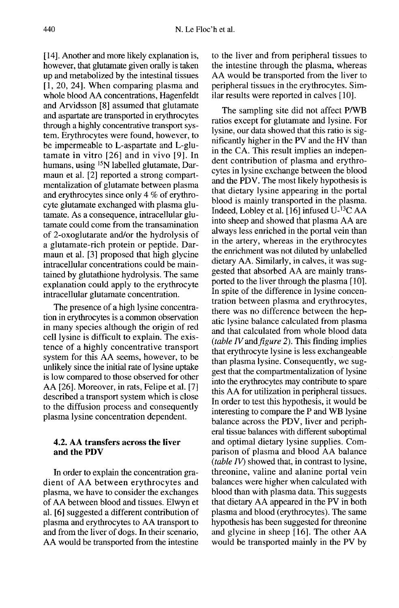[14]. Another and more likely explanation is, however, that glutamate given orally is taken up and metabolized by the intestinal tissues [1, 20, 24]. When comparing plasma and whole blood AA concentrations, Hagenfeldt and Arvidsson [8] assumed that glutamate and aspartate are transported in erythrocytes through a highly concentrative transport system. Erythrocytes were found, however, to be impermeable to L-aspartate and L-glu tamate in vitro [26] and in vivo [9]. In humans, using 15N labelled glutamate, Darmaun et al. [2] reported a strong compartmentalization of glutamate between plasma and erythrocytes since only 4 % of erythrocyte glutamate exchanged with plasma glu tamate. As a consequence, intracellular glu tamate could come from the transamination of 2-oxoglutarate and/or the hydrolysis of a glutamate-rich protein or peptide. Darmaun et al. [3] proposed that high glycine intracellular concentrations could be maintained by glutathione hydrolysis. The same explanation could apply to the erythrocyte intracellular glutamate concentration. Ilular concentrations could be main-<br>by glutathione hydrolysis. The same<br>ation could apply to the erythrocyte<br>Ilular glutamate concentration.<br>presence of a high lysine concentra-<br>erythrocytes is a common observation

tion in erythrocytes is a common observation The presence of a high lysine concentrain many species although the origin of red cell lysine is difficult to explain. The existence of a highly concentrative transport system for this AA seems, however, to be unlikely since the initial rate of lysine uptake is low compared to those observed for other AA [26]. Moreover, in rats, Felipe et al. [7] described a transport system which is close to the diffusion process and consequently plasma lysine concentration dependent.

# 4.2. AA transfers across the liver and the PDV

In order to explain the concentration gradient of AA between erythrocytes and plasma, we have to consider the exchanges of AA between blood and tissues. Elwyn et al. [6] suggested a different contribution of plasma and erythrocytes to AA transport to and from the liver of dogs. In their scenario, AA would be transported from the intestine to the liver and from peripheral tissues to the intestine through the plasma, whereas AA would be transported from the liver to peripheral tissues in the erythrocytes. Similar results were reported in calves [10].

The sampling site did not affect P/WB ratios except for glutamate and lysine. For lysine, our data showed that this ratio is significantly higher in the PV and the HV than in the CA. This result implies an independent contribution of plasma and erythrocytes in lysine exchange between the blood and the PDV. The most likely hypothesis is that dietary lysine appearing in the portal<br>blood is mainly transported in the plasma.<br>Indeed, Lobley et al. [16] infused U-<sup>13</sup>C AA<br>inte shoon and shoured that plasma. blood is mainly transported in the plasma.<br>Indeed, Lobley et al. [16] infused U-<sup>13</sup>C AA into sheep and showed that plasma AA are always less enriched in the portal vein than in the artery, whereas in the erythrocytes the enrichment was not diluted by unlabelled dietary AA. Similarly, in calves, it was suggested that absorbed AA are mainly transported to the liver through the plasma [10]. In spite of the difference in lysine concentration between plasma and erythrocytes, there was no difference between the hepatic lysine balance calculated from plasma and that calculated from whole blood data (table IV and figure 2). This finding implies that erythrocyte lysine is less exchangeable than plasma lysine. Consequently, we suggest that the compartmentalization of lysine into the erythrocytes may contribute to spare this AA for utilization in peripheral tissues. In order to test this hypothesis, it would be interesting to compare the P and WB lysine balance across the PDV, liver and peripheral tissue balances with different suboptimal and optimal dietary lysine supplies. Comparison of plasma and blood AA balance (table IV) showed that, in contrast to lysine, threonine, valine and alanine portal vein balances were higher when calculated with blood than with plasma data. This suggests that dietary AA appeared in the PV in both plasma and blood (erythrocytes). The same hypothesis has been suggested for threonine and glycine in sheep [16]. The other AA would be transported mainly in the PV by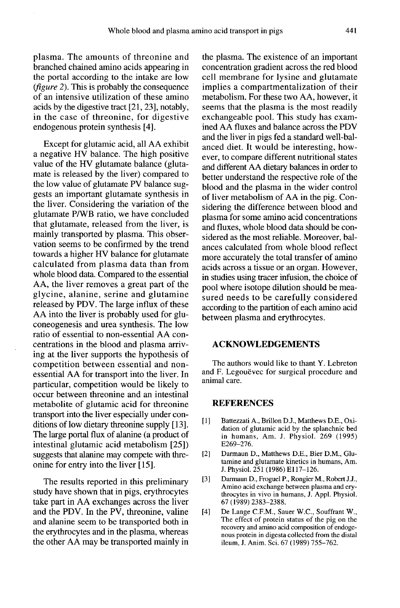plasma. The amounts of threonine and branched chained amino acids appearing in the portal according to the intake are low (*figure 2*). This is probably the consequence of an intensive utilization of these amino acids by the digestive tract [21, 23], notably, in the case of threonine, for digestive endogenous protein synthesis [4].

Except for glutamic acid, all AA exhibit a negative HV balance. The high positive value of the HV glutamate balance (gluta mate is released by the liver) compared to the low value of glutamate PV balance suggests an important glutamate synthesis in the liver. Considering the variation of the glutamate P/WB ratio, we have concluded that glutamate, released from the liver, is mainly transported by plasma. This observation seems to be confirmed by the trend towards a higher HV balance for glutamate calculated from plasma data than from whole blood data. Compared to the essential AA, the liver removes a great part of the glycine, alanine, serine and glutamine released by PDV. The large influx of these AA into the liver is probably used for gluconeogenesis and urea synthesis. The low ratio of essential to non-essential AA concentrations in the blood and plasma arriving at the liver supports the hypothesis of competition between essential and nonessential AA for transport into the liver. In particular, competition would be likely to occur between threonine and an intestinal metabolite of glutamic acid for threonine transport into the liver especially under conditions of low dietary threonine supply [13]. The large portal flux of alanine (a product of intestinal glutamic acid metabolism [25]) suggests that alanine may compete with threonine for entry into the liver [15].

The results reported in this preliminary study have shown that in pigs, erythrocytes take part in AA exchanges across the liver and the PDV. In the PV, threonine, valine and alanine seem to be transported both in the erythrocytes and in the plasma, whereas the other AA may be transported mainly in the plasma. The existence of an important concentration gradient across the red blood cell membrane for lysine and glutamate implies a compartmentalization of their metabolism. For these two AA, however, it seems that the plasma is the most readily exchangeable pool. This study has examined AA fluxes and balance across the PDV and the liver in pigs fed a standard well-balanced diet. It would be interesting, however, to compare different nutritional states and different AA dietary balances in order to better understand the respective role of the blood and the plasma in the wider control of liver metabolism of AA in the pig. Considering the difference between blood and plasma for some amino acid concentrations and fluxes, whole blood data should be considered as the most reliable. Moreover, balances calculated from whole blood reflect more accurately the total transfer of amino acids across a tissue or an organ. However, in studies using tracer infusion, the choice of pool where isotope dilution should be measured needs to be carefully considered according to the partition of each amino acid between plasma and erythrocytes.

#### ACKNOWLEDGEMENTS

The authors would like to thant Y. Lebreton and F. Legouëvec for surgical procedure and animal care.

#### REFERENCES

- [1] Battezzati A., Brillon D.J., Matthews D.E., Oxidation of glutamic acid by the splanchnic bed in humans, Am. J. Physiol. 269 (1995) E269-276.
- [2] Darmaun D., Matthews D.E., Bier D.M., Glutamine and glutamate kinetics in humans, Am. J. Physiol. 251 (1986) E117-126.
- [3] ]Darmaun D., Froguel P., Rongier M., Robert J.J., Amino acid exchange between plasma and erythrocytes in vivo in humans, J. Appl. Physiol. 67 (1989) 2383-2388.
- [4] De Lange C.F.M., Sauer W.C., Souffrant W., The effect of protein status of the pig on the recovery and amino acid composition of endoge nous protein in digesta collected from the distal ileum, J. Anim. Sci. 67 (1989) 755-762.